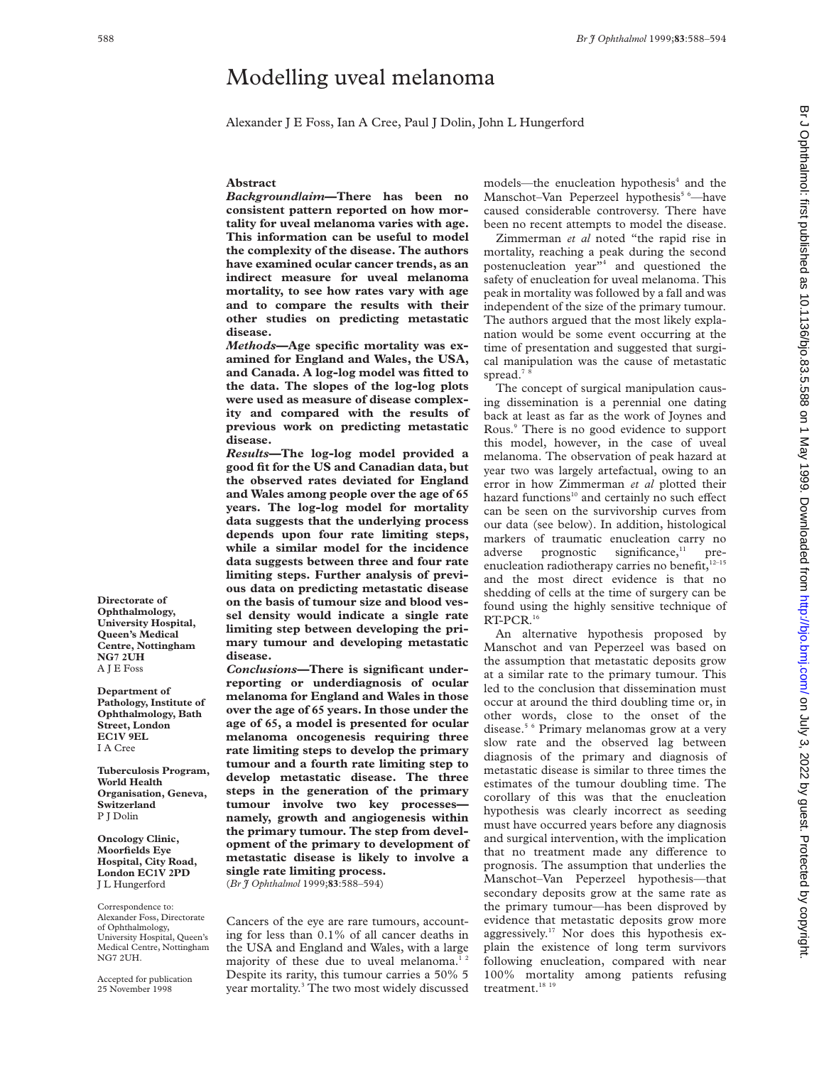# Modelling uveal melanoma

Alexander J E Foss, Ian A Cree, Paul J Dolin, John L Hungerford

#### **Abstract**

*Background/aim***—There has been no consistent pattern reported on how mortality for uveal melanoma varies with age. This information can be useful to model the complexity of the disease. The authors have examined ocular cancer trends, as an indirect measure for uveal melanoma mortality, to see how rates vary with age and to compare the results with their other studies on predicting metastatic disease.**

*Methods***—Age specific mortality was examined for England and Wales, the USA, and Canada. A log-log model was fitted to the data. The slopes of the log-log plots were used as measure of disease complexity and compared with the results of previous work on predicting metastatic disease.**

*Results***—The log-log model provided a good fit for the US and Canadian data, but the observed rates deviated for England and Wales among people over the age of 65 years. The log-log model for mortality data suggests that the underlying process depends upon four rate limiting steps, while a similar model for the incidence data suggests between three and four rate limiting steps. Further analysis of previous data on predicting metastatic disease on the basis of tumour size and blood vessel density would indicate a single rate limiting step between developing the primary tumour and developing metastatic disease.**

*Conclusions—***There is significant underreporting or underdiagnosis of ocular melanoma for England and Wales in those over the age of 65 years. In those under the age of 65, a model is presented for ocular melanoma oncogenesis requiring three rate limiting steps to develop the primary tumour and a fourth rate limiting step to develop metastatic disease. The three steps in the generation of the primary tumour involve two key processes namely, growth and angiogenesis within the primary tumour. The step from development of the primary to development of metastatic disease is likely to involve a single rate limiting process.** (*Br J Ophthalmol* 1999;**83**:588–594)

Cancers of the eye are rare tumours, accounting for less than 0.1% of all cancer deaths in the USA and England and Wales, with a large majority of these due to uveal melanoma.<sup>12</sup> Despite its rarity, this tumour carries a 50% 5 year mortality.<sup>3</sup> The two most widely discussed

models—the enucleation hypothesis<sup>4</sup> and the Manschot-Van Peperzeel hypothesis<sup>5 6</sup>-have caused considerable controversy. There have been no recent attempts to model the disease.

Zimmerman *et al* noted "the rapid rise in mortality, reaching a peak during the second postenucleation year"4 and questioned the safety of enucleation for uveal melanoma. This peak in mortality was followed by a fall and was independent of the size of the primary tumour. The authors argued that the most likely explanation would be some event occurring at the time of presentation and suggested that surgical manipulation was the cause of metastatic spread.<sup>78</sup>

The concept of surgical manipulation causing dissemination is a perennial one dating back at least as far as the work of Joynes and Rous.9 There is no good evidence to support this model, however, in the case of uveal melanoma. The observation of peak hazard at year two was largely artefactual, owing to an error in how Zimmerman *et al* plotted their hazard functions<sup>10</sup> and certainly no such effect can be seen on the survivorship curves from our data (see below). In addition, histological markers of traumatic enucleation carry no  $adverse$  prognostic significance,<sup>11</sup> preenucleation radiotherapy carries no benefit,<sup>12-15</sup> and the most direct evidence is that no shedding of cells at the time of surgery can be found using the highly sensitive technique of RT-PCR.16

An alternative hypothesis proposed by Manschot and van Peperzeel was based on the assumption that metastatic deposits grow at a similar rate to the primary tumour. This led to the conclusion that dissemination must occur at around the third doubling time or, in other words, close to the onset of the disease.5 6 Primary melanomas grow at a very slow rate and the observed lag between diagnosis of the primary and diagnosis of metastatic disease is similar to three times the estimates of the tumour doubling time. The corollary of this was that the enucleation hypothesis was clearly incorrect as seeding must have occurred years before any diagnosis and surgical intervention, with the implication that no treatment made any difference to prognosis. The assumption that underlies the Manschot–Van Peperzeel hypothesis—that secondary deposits grow at the same rate as the primary tumour—has been disproved by evidence that metastatic deposits grow more aggressively.<sup>17</sup> Nor does this hypothesis explain the existence of long term survivors following enucleation, compared with near 100% mortality among patients refusing treatment.<sup>18</sup><sup>19</sup>

**Directorate of Ophthalmology, University Hospital, Queen's Medical Centre, Nottingham NG7 2UH** A J E Foss

**Department of Pathology, Institute of Ophthalmology, Bath Street, London EC1V 9EL** I A Cree

**Tuberculosis Program, World Health Organisation, Geneva, Switzerland** P J Dolin

**Oncology Clinic, Moorfields Eye Hospital, City Road, London EC1V 2PD** J L Hungerford

Correspondence to: Alexander Foss, Directorate of Ophthalmology, University Hospital, Queen's Medical Centre, Nottingham NG7 2UH.

Accepted for publication 25 November 1998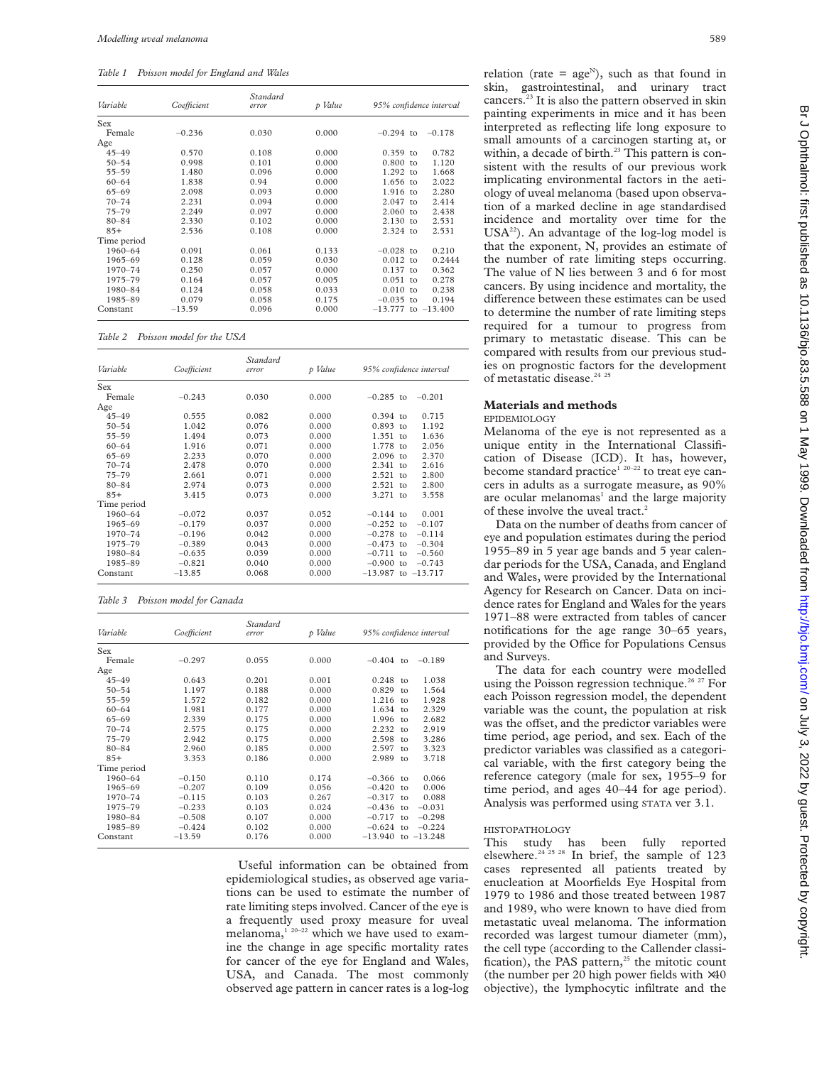*Table 1 Poisson model for England and Wales*

| Variable    | Coefficient | Standard<br>p Value<br>error |       | 95% confidence interval            |  |
|-------------|-------------|------------------------------|-------|------------------------------------|--|
| Sex         |             |                              |       |                                    |  |
| Female      | $-0.236$    | 0.030                        | 0.000 | $-0.294$ to<br>$-0.178$            |  |
| Age         |             |                              |       |                                    |  |
| $45 - 49$   | 0.570       | 0.108                        | 0.000 | $0.359$ to<br>0.782                |  |
| $50 - 54$   | 0.998       | 0.101                        | 0.000 | 0.800<br>1.120<br>to               |  |
| $55 - 59$   | 1.480       | 0.096                        | 0.000 | $1.292$ to<br>1.668                |  |
| $60 - 64$   | 1.838       | 0.94                         | 0.000 | 1.656 to<br>2.022                  |  |
| $65 - 69$   | 2.098       | 0.093                        | 0.000 | 1.916<br>2.280<br>$\overline{10}$  |  |
| $70 - 74$   | 2.231       | 0.094                        | 0.000 | 2.047<br>2.414<br>$t_{\Omega}$     |  |
| $75 - 79$   | 2.249       | 0.097                        | 0.000 | 2.060<br>2.438<br>$\overline{10}$  |  |
| $80 - 84$   | 2.330       | 0.102                        | 0.000 | 2.130<br>2.531<br>$\overline{10}$  |  |
| $85+$       | 2.536       | 0.108                        | 0.000 | 2.324 to<br>2.531                  |  |
| Time period |             |                              |       |                                    |  |
| 1960-64     | 0.091       | 0.061                        | 0.133 | 0.210<br>$-0.028$ to               |  |
| $1965 - 69$ | 0.128       | 0.059                        | 0.030 | 0.012<br>0.2444<br>$\mathsf{to}$   |  |
| 1970-74     | 0.250       | 0.057                        | 0.000 | 0.137<br>0.362<br>to               |  |
| 1975-79     | 0.164       | 0.057                        | 0.005 | 0.051<br>0.278<br>$t_{\Omega}$     |  |
| 1980-84     | 0.124       | 0.058                        | 0.033 | 0.010<br>0.238<br>to               |  |
| 1985-89     | 0.079       | 0.058                        | 0.175 | $-0.035$<br>0.194<br>$\mathsf{to}$ |  |
| Constant    | $-13.59$    | 0.096                        | 0.000 | $-13.777$<br>to $-13.400$          |  |

*Table 2 Poisson model for the USA*

| Variable    | Coefficient | Standard<br>error | p Value | 95% confidence interval           |  |
|-------------|-------------|-------------------|---------|-----------------------------------|--|
| <b>Sex</b>  |             |                   |         |                                   |  |
| Female      | $-0.243$    | 0.030             | 0.000   | $-0.285$ to<br>$-0.201$           |  |
| Age         |             |                   |         |                                   |  |
| $45 - 49$   | 0.555       | 0.082             | 0.000   | 0.715<br>$0.394$ to               |  |
| $50 - 54$   | 1.042       | 0.076             | 0.000   | 0.893<br>1.192<br>$\tau$          |  |
| $55 - 59$   | 1.494       | 0.073             | 0.000   | 1.351<br>1.636<br>$t_{\Omega}$    |  |
| $60 - 64$   | 1.916       | 0.071             | 0.000   | 1.778 to<br>2.056                 |  |
| $65 - 69$   | 2.233       | 0.070             | 0.000   | $2.096$ to<br>2.370               |  |
| $70 - 74$   | 2.478       | 0.070             | 0.000   | 2.341<br>2.616<br>$t_{\Omega}$    |  |
| $75 - 79$   | 2.661       | 0.071             | 0.000   | 2.521<br>2.800<br>$\overline{10}$ |  |
| $80 - 84$   | 2.974       | 0.073             | 0.000   | 2.521<br>2.800<br>$\overline{10}$ |  |
| $85+$       | 3.415       | 0.073             | 0.000   | 3.271 to<br>3.558                 |  |
| Time period |             |                   |         |                                   |  |
| 1960-64     | $-0.072$    | 0.037             | 0.052   | $-0.144$ to<br>0.001              |  |
| 1965-69     | $-0.179$    | 0.037             | 0.000   | $-0.252$ to<br>$-0.107$           |  |
| 1970-74     | $-0.196$    | 0.042             | 0.000   | $-0.278$ to<br>$-0.114$           |  |
| 1975-79     | $-0.389$    | 0.043             | 0.000   | $-0.473$ to<br>$-0.304$           |  |
| 1980-84     | $-0.635$    | 0.039             | 0.000   | $-0.711$ to<br>$-0.560$           |  |
| 1985-89     | $-0.821$    | 0.040             | 0.000   | $-0.900$ to<br>$-0.743$           |  |
| Constant    | $-13.85$    | 0.068             | 0.000   | $-13.987$ to $-13.717$            |  |

*Table 3 Poisson model for Canada*

| Variable    | Coefficient | Standard<br>error | p Value | 95% confidence interval |               |              |
|-------------|-------------|-------------------|---------|-------------------------|---------------|--------------|
| Sex         |             |                   |         |                         |               |              |
| Female      | $-0.297$    | 0.055             | 0.000   | $-0.404$                | to            | $-0.189$     |
| Age         |             |                   |         |                         |               |              |
| $45 - 49$   | 0.643       | 0.201             | 0.001   | 0.248                   | $t_{0}$       | 1.038        |
| $50 - 54$   | 1.197       | 0.188             | 0.000   | 0.829                   | to.           | 1.564        |
| $55 - 59$   | 1.572       | 0.182             | 0.000   | 1.216                   | $\mathsf{to}$ | 1.928        |
| $60 - 64$   | 1.981       | 0.177             | 0.000   | 1.634                   | to.           | 2.329        |
| $65 - 69$   | 2.339       | 0.175             | 0.000   | 1.996                   | to            | 2.682        |
| $70 - 74$   | 2.575       | 0.175             | 0.000   | 2.232                   | to            | 2.919        |
| $75 - 79$   | 2.942       | 0.175             | 0.000   | 2.598                   | to.           | 3.286        |
| $80 - 84$   | 2.960       | 0.185             | 0.000   | 2.597                   | to            | 3.323        |
| $85+$       | 3.353       | 0.186             | 0.000   | 2.989                   | <sub>to</sub> | 3.718        |
| Time period |             |                   |         |                         |               |              |
| 1960-64     | $-0.150$    | 0.110             | 0.174   | $-0.366$                | $\mathsf{to}$ | 0.066        |
| 1965-69     | $-0.207$    | 0.109             | 0.056   | $-0.420$                | to            | 0.006        |
| 1970-74     | $-0.115$    | 0.103             | 0.267   | $-0.317$                | to            | 0.088        |
| 1975-79     | $-0.233$    | 0.103             | 0.024   | $-0.436$                | $\mathsf{to}$ | $-0.031$     |
| 1980-84     | $-0.508$    | 0.107             | 0.000   | $-0.717$                | to            | $-0.298$     |
| 1985-89     | $-0.424$    | 0.102             | 0.000   | $-0.624$                | to            | $-0.224$     |
| Constant    | $-13.59$    | 0.176             | 0.000   | $-13.940$               |               | to $-13.248$ |

Useful information can be obtained from epidemiological studies, as observed age variations can be used to estimate the number of rate limiting steps involved. Cancer of the eye is a frequently used proxy measure for uveal melanoma, $1^{20-22}$  which we have used to examine the change in age specific mortality rates for cancer of the eye for England and Wales, USA, and Canada. The most commonly observed age pattern in cancer rates is a log-log

relation (rate =  $age^N$ ), such as that found in skin, gastrointestinal, and urinary tract cancers.<sup>23</sup> It is also the pattern observed in skin painting experiments in mice and it has been interpreted as reflecting life long exposure to small amounts of a carcinogen starting at, or within, a decade of birth. $23$  This pattern is consistent with the results of our previous work implicating environmental factors in the aetiology of uveal melanoma (based upon observation of a marked decline in age standardised incidence and mortality over time for the  $USA^{22}$ ). An advantage of the log-log model is that the exponent, N, provides an estimate of the number of rate limiting steps occurring. The value of N lies between 3 and 6 for most cancers. By using incidence and mortality, the difference between these estimates can be used to determine the number of rate limiting steps required for a tumour to progress from primary to metastatic disease. This can be compared with results from our previous studies on prognostic factors for the development of metastatic disease.<sup>24 25</sup>

## **Materials and methods**

EPIDEMIOLOGY

Melanoma of the eye is not represented as a unique entity in the International Classification of Disease (ICD). It has, however, become standard practice<sup> $1^{20-22}$ </sup> to treat eye cancers in adults as a surrogate measure, as 90% are ocular melanomas<sup>1</sup> and the large majority of these involve the uveal tract.<sup>2</sup>

Data on the number of deaths from cancer of eye and population estimates during the period 1955–89 in 5 year age bands and 5 year calendar periods for the USA, Canada, and England and Wales, were provided by the International Agency for Research on Cancer. Data on incidence rates for England and Wales for the years 1971–88 were extracted from tables of cancer notifications for the age range 30–65 years, provided by the Office for Populations Census and Surveys.

The data for each country were modelled using the Poisson regression technique.<sup>26 27</sup> For each Poisson regression model, the dependent variable was the count, the population at risk was the offset, and the predictor variables were time period, age period, and sex. Each of the predictor variables was classified as a categorical variable, with the first category being the reference category (male for sex, 1955–9 for time period, and ages 40–44 for age period). Analysis was performed using STATA ver 3.1.

#### HISTOPATHOLOGY

This study has been fully reported elsewhere.<sup>24 25 28</sup> In brief, the sample of 123 cases represented all patients treated by enucleation at Moorfields Eye Hospital from 1979 to 1986 and those treated between 1987 and 1989, who were known to have died from metastatic uveal melanoma. The information recorded was largest tumour diameter (mm), the cell type (according to the Callender classification), the PAS pattern, $25$  the mitotic count (the number per 20 high power fields with  $\times 40$ objective), the lymphocytic infiltrate and the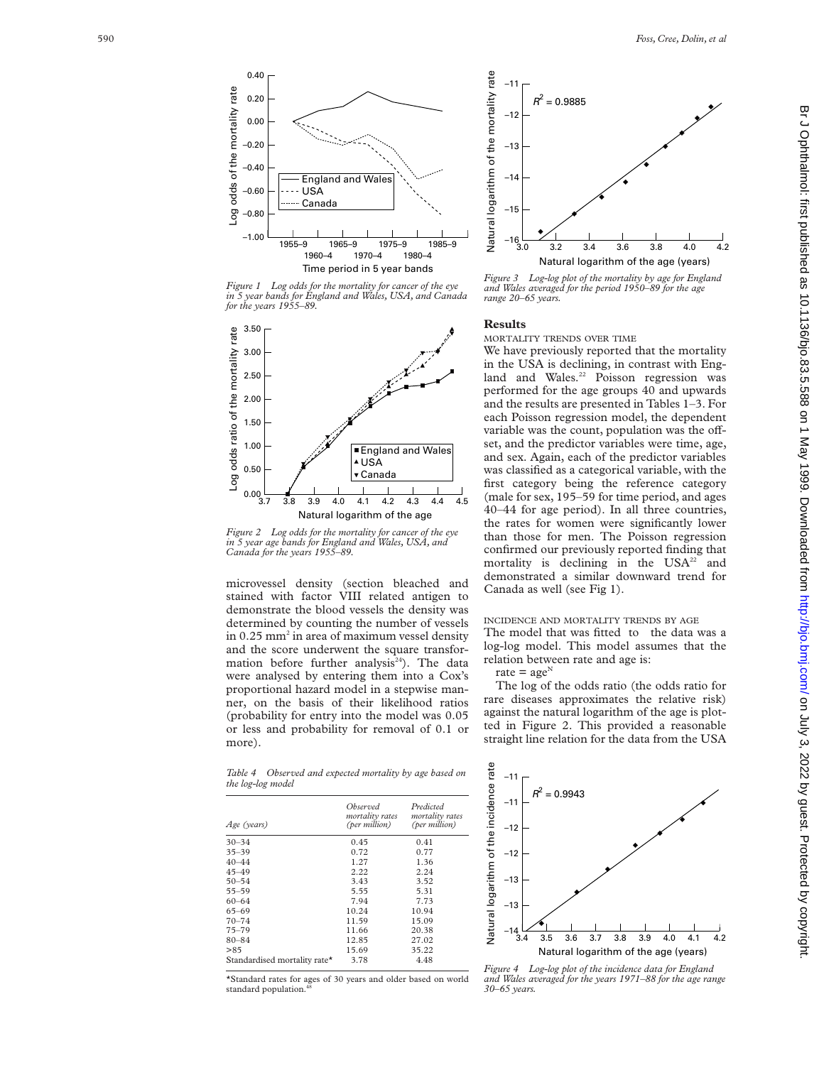4.2



*Figure 1 Log odds for the mortality for cancer of the eye in 5 year bands for England and Wales, USA, and Canada for the years 1955–89.*



*Figure 2 Log odds for the mortality for cancer of the eye in 5 year age bands for England and Wales, USA, and Canada for the years 1955–89.*

microvessel density (section bleached and stained with factor VIII related antigen to demonstrate the blood vessels the density was determined by counting the number of vessels in 0.25 mm <sup>2</sup> in area of maximum vessel density and the score underwent the square transformation before further analysis $24$ ). The data were analysed by entering them into a Cox's proportional hazard model in a stepwise manner, on the basis of their likelihood ratios (probability for entry into the model was 0.05 or less and probability for removal of 0.1 or more).

*Figure 3 Log-log plot of the mortality by age for England and Wales averaged for the period 1950–89 for the age range 20–65 years.* Natural logarithm of the age (years)

3.0 3.2 3.4 3.6 3.8 4.0 *<sup>R</sup>*<sup>2</sup>

## **Results**

–11

–12

–13

–14

Natural logarithm of the mortality rate

Natural logarithm of the mortality rate

–15

 $-16$ <br> $-3.0$ 

MORTALITY TRENDS OVER TIME

 $= 0.9885$ 

We have previously reported that the mortality in the USA is declining, in contrast with England and Wales.<sup>22</sup> Poisson regression was performed for the age groups 40 and upwards and the results are presented in Tables 1–3. For each Poisson regression model, the dependent variable was the count, population was the offset, and the predictor variables were time, age, and sex. Again, each of the predictor variables was classified as a categorical variable, with the first category being the reference category (male for sex, 195–59 for time period, and ages 40–44 for age period). In all three countries, the rates for women were significantly lower than those for men. The Poisson regression confirmed our previously reported finding that mortality is declining in the  $USA^{22}$  and demonstrated a similar downward trend for Canada as well (see Fig 1).

# INCIDENCE AND MORTALITY TRENDS BY AGE

The model that was fitted to the data was a log-log model. This model assumes that the relation between rate and age is:

rate =  $age^N$ 

The log of the odds ratio (the odds ratio for rare diseases approximates the relative risk) against the natural logarithm of the age is plotted in Figure 2. This provided a reasonable straight line relation for the data from the USA

*Table 4 Observed and expected mortality by age based on the log-log model*

| Age (years)                  | Observed<br>mortality rates<br>(per million) | Predicted<br>mortality rates<br>(per million) |  |  |
|------------------------------|----------------------------------------------|-----------------------------------------------|--|--|
| $30 - 34$                    | 0.45                                         | 0.41                                          |  |  |
| $35 - 39$                    | 0.72                                         | 0.77                                          |  |  |
| $40 - 44$                    | 1.27                                         | 1.36                                          |  |  |
| $45 - 49$                    | 2.22                                         | 2.24                                          |  |  |
| $50 - 54$                    | 3.43                                         | 3.52                                          |  |  |
| $55 - 59$                    | 5.55                                         | 5.31                                          |  |  |
| $60 - 64$                    | 7.94                                         | 7.73                                          |  |  |
| $65 - 69$                    | 10.24                                        | 10.94                                         |  |  |
| $70 - 74$                    | 11.59                                        | 15.09                                         |  |  |
| $75 - 79$                    | 11.66                                        | 20.38                                         |  |  |
| $80 - 84$                    | 12.85                                        | 27.02                                         |  |  |
| >85                          | 15.69                                        | 35.22                                         |  |  |
| Standardised mortality rate* | 3.78                                         | 4.48                                          |  |  |
|                              |                                              |                                               |  |  |

\*Standard rates for ages of 30 years and older based on world standard population.



*Figure 4 Log-log plot of the incidence data for England and Wales averaged for the years 1971–88 for the age range 30–65 years.*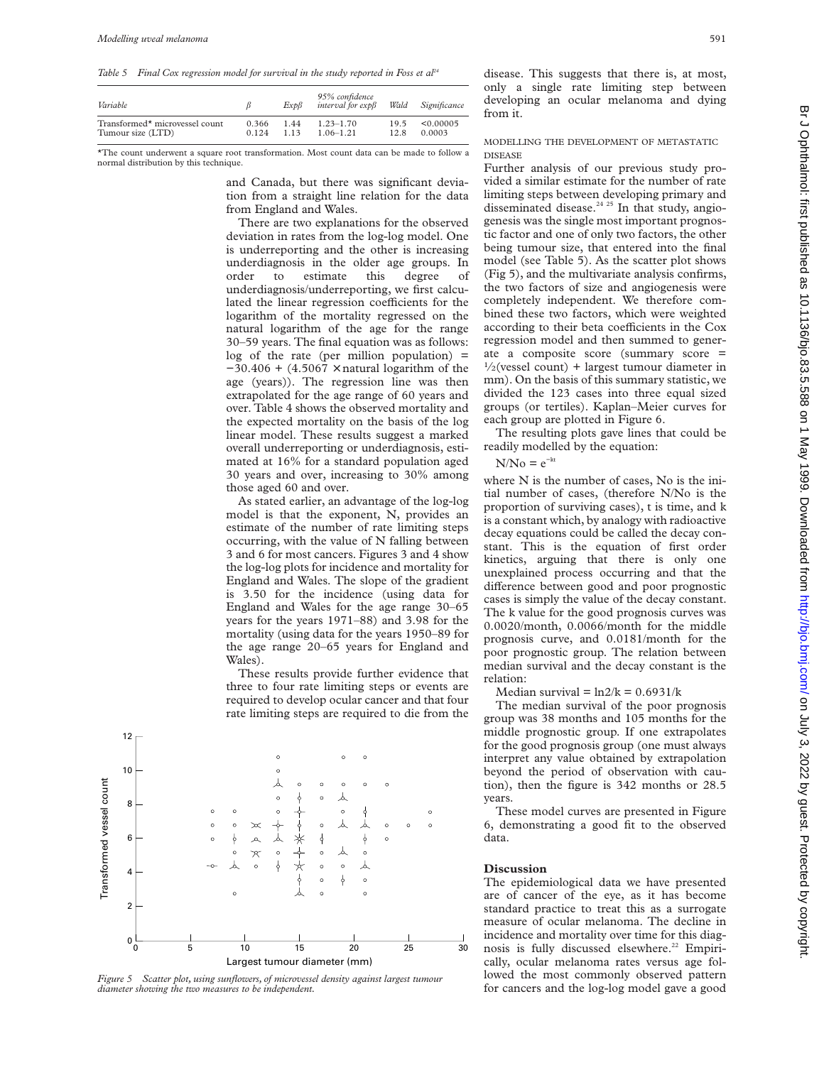Table 5 Final Cox regression model for survival in the study reported in Foss et al<sup>24</sup>

| Variable                       |       | ExpB  | 95% confidence<br>interval for $exp\beta$ | Wald | Significance |
|--------------------------------|-------|-------|-------------------------------------------|------|--------------|
| Transformed* microvessel count | 0.366 | 1.44  | $1.23 - 1.70$                             | 195  | < 0.00005    |
| Tumour size (LTD)              | 0.124 | 1 1 3 | $1.06 - 1.21$                             | 12.8 | 0.0003       |

\*The count underwent a square root transformation. Most count data can be made to follow a normal distribution by this technique.

> and Canada, but there was significant deviation from a straight line relation for the data from England and Wales.

There are two explanations for the observed deviation in rates from the log-log model. One is underreporting and the other is increasing underdiagnosis in the older age groups. In order to estimate this degree of underdiagnosis/underreporting, we first calculated the linear regression coefficients for the logarithm of the mortality regressed on the natural logarithm of the age for the range 30–59 years. The final equation was as follows:  $log$  of the rate (per million population) =  $-30.406 + (4.5067 \times$  natural logarithm of the age (years)). The regression line was then extrapolated for the age range of 60 years and over. Table 4 shows the observed mortality and the expected mortality on the basis of the log linear model. These results suggest a marked overall underreporting or underdiagnosis, estimated at 16% for a standard population aged 30 years and over, increasing to 30% among those aged 60 and over.

As stated earlier, an advantage of the log-log model is that the exponent, N, provides an estimate of the number of rate limiting steps occurring, with the value of N falling between 3 and 6 for most cancers. Figures 3 and 4 show the log-log plots for incidence and mortality for England and Wales. The slope of the gradient is 3.50 for the incidence (using data for England and Wales for the age range 30–65 years for the years 1971–88) and 3.98 for the mortality (using data for the years 1950–89 for the age range 20–65 years for England and Wales).

These results provide further evidence that three to four rate limiting steps or events are required to develop ocular cancer and that four rate limiting steps are required to die from the



*Figure 5 Scatter plot, using sunflowers, of microvessel density against largest tumour diameter showing the two measures to be independent.*

disease. This suggests that there is, at most, only a single rate limiting step between developing an ocular melanoma and dying from it.

#### MODELLING THE DEVELOPMENT OF METASTATIC DISEASE

Further analysis of our previous study provided a similar estimate for the number of rate limiting steps between developing primary and disseminated disease.<sup>24 25</sup> In that study, angiogenesis was the single most important prognostic factor and one of only two factors, the other being tumour size, that entered into the final model (see Table 5). As the scatter plot shows (Fig 5), and the multivariate analysis confirms, the two factors of size and angiogenesis were completely independent. We therefore combined these two factors, which were weighted according to their beta coefficients in the Cox regression model and then summed to generate a composite score (summary score =  $\frac{1}{2}$ (vessel count) + largest tumour diameter in mm). On the basis of this summary statistic, we divided the 123 cases into three equal sized groups (or tertiles). Kaplan–Meier curves for each group are plotted in Figure 6.

The resulting plots gave lines that could be readily modelled by the equation:

## $N/N<sub>0</sub> = e<sup>-kt</sup>$

where N is the number of cases, No is the initial number of cases, (therefore N/No is the proportion of surviving cases), t is time, and k is a constant which, by analogy with radioactive decay equations could be called the decay constant. This is the equation of first order kinetics, arguing that there is only one unexplained process occurring and that the difference between good and poor prognostic cases is simply the value of the decay constant. The k value for the good prognosis curves was 0.0020/month, 0.0066/month for the middle prognosis curve, and 0.0181/month for the poor prognostic group. The relation between median survival and the decay constant is the relation:

Median survival =  $ln2/k = 0.6931/k$ 

The median survival of the poor prognosis group was 38 months and 105 months for the middle prognostic group. If one extrapolates for the good prognosis group (one must always interpret any value obtained by extrapolation beyond the period of observation with caution), then the figure is 342 months or 28.5 years.

These model curves are presented in Figure 6, demonstrating a good fit to the observed data.

## **Discussion**

The epidemiological data we have presented are of cancer of the eye, as it has become standard practice to treat this as a surrogate measure of ocular melanoma. The decline in incidence and mortality over time for this diagnosis is fully discussed elsewhere.<sup>22</sup> Empirically, ocular melanoma rates versus age followed the most commonly observed pattern for cancers and the log-log model gave a good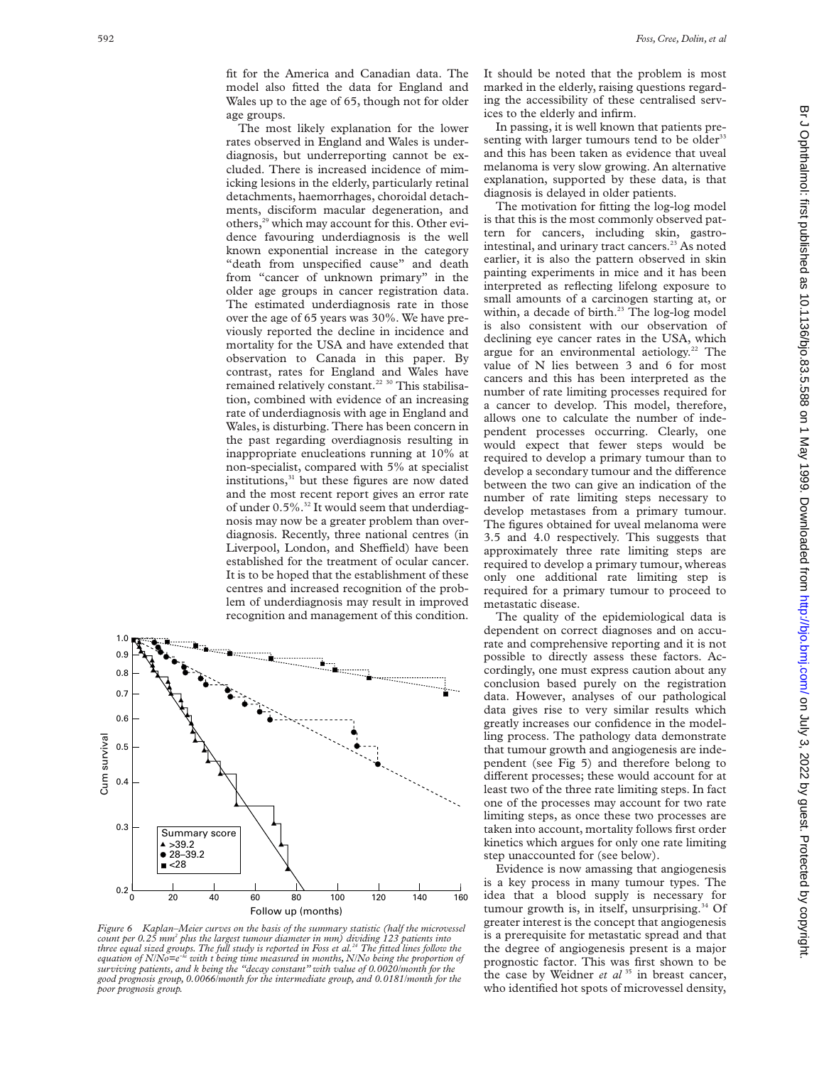fit for the America and Canadian data. The model also fitted the data for England and Wales up to the age of 65, though not for older age groups.

The most likely explanation for the lower rates observed in England and Wales is underdiagnosis, but underreporting cannot be excluded. There is increased incidence of mimicking lesions in the elderly, particularly retinal detachments, haemorrhages, choroidal detachments, disciform macular degeneration, and others,<sup>29</sup> which may account for this. Other evidence favouring underdiagnosis is the well known exponential increase in the category "death from unspecified cause" and death from "cancer of unknown primary" in the older age groups in cancer registration data. The estimated underdiagnosis rate in those over the age of 65 years was 30%. We have previously reported the decline in incidence and mortality for the USA and have extended that observation to Canada in this paper. By contrast, rates for England and Wales have remained relatively constant.<sup>22 30</sup> This stabilisation, combined with evidence of an increasing rate of underdiagnosis with age in England and Wales, is disturbing. There has been concern in the past regarding overdiagnosis resulting in inappropriate enucleations running at 10% at non-specialist, compared with 5% at specialist institutions,<sup>31</sup> but these figures are now dated and the most recent report gives an error rate of under  $0.5\%$ .<sup>32</sup> It would seem that underdiagnosis may now be a greater problem than overdiagnosis. Recently, three national centres (in Liverpool, London, and Sheffield) have been established for the treatment of ocular cancer. It is to be hoped that the establishment of these centres and increased recognition of the problem of underdiagnosis may result in improved recognition and management of this condition.



*Figure 6 Kaplan–Meier curves on the basis of the summary statistic (half the microvessel count per 0.25 mm2 plus the largest tumour diameter in mm) dividing 123 patients into three equal sized groups. The full study is reported in Foss et al.24 The fitted lines follow the equation of N/No=e<sup>-k</sup> with t being time measured in months, N/No being the proportion of surviving patients, and k being the "decay constant" with value of 0.0020/month for the good prognosis group, 0.0066/month for the intermediate group, and 0.0181/month for the poor prognosis group.*

It should be noted that the problem is most marked in the elderly, raising questions regarding the accessibility of these centralised services to the elderly and infirm.

In passing, it is well known that patients presenting with larger tumours tend to be older<sup>33</sup> and this has been taken as evidence that uveal melanoma is very slow growing. An alternative explanation, supported by these data, is that diagnosis is delayed in older patients.

The motivation for fitting the log-log model is that this is the most commonly observed pattern for cancers, including skin, gastrointestinal, and urinary tract cancers.<sup>23</sup> As noted earlier, it is also the pattern observed in skin painting experiments in mice and it has been interpreted as reflecting lifelong exposure to small amounts of a carcinogen starting at, or within, a decade of birth.<sup>23</sup> The log-log model is also consistent with our observation of declining eye cancer rates in the USA, which argue for an environmental aetiology.<sup>22</sup> The value of N lies between 3 and 6 for most cancers and this has been interpreted as the number of rate limiting processes required for a cancer to develop. This model, therefore, allows one to calculate the number of independent processes occurring. Clearly, one would expect that fewer steps would be required to develop a primary tumour than to develop a secondary tumour and the difference between the two can give an indication of the number of rate limiting steps necessary to develop metastases from a primary tumour. The figures obtained for uveal melanoma were 3.5 and 4.0 respectively. This suggests that approximately three rate limiting steps are required to develop a primary tumour, whereas only one additional rate limiting step is required for a primary tumour to proceed to metastatic disease.

The quality of the epidemiological data is dependent on correct diagnoses and on accurate and comprehensive reporting and it is not possible to directly assess these factors. Accordingly, one must express caution about any conclusion based purely on the registration data. However, analyses of our pathological data gives rise to very similar results which greatly increases our confidence in the modelling process. The pathology data demonstrate that tumour growth and angiogenesis are independent (see Fig 5) and therefore belong to different processes; these would account for at least two of the three rate limiting steps. In fact one of the processes may account for two rate limiting steps, as once these two processes are taken into account, mortality follows first order kinetics which argues for only one rate limiting step unaccounted for (see below).

Evidence is now amassing that angiogenesis is a key process in many tumour types. The idea that a blood supply is necessary for tumour growth is, in itself, unsurprising. $34$  Of greater interest is the concept that angiogenesis is a prerequisite for metastatic spread and that the degree of angiogenesis present is a major prognostic factor. This was first shown to be the case by Weidner *et al* <sup>35</sup> in breast cancer, who identified hot spots of microvessel density,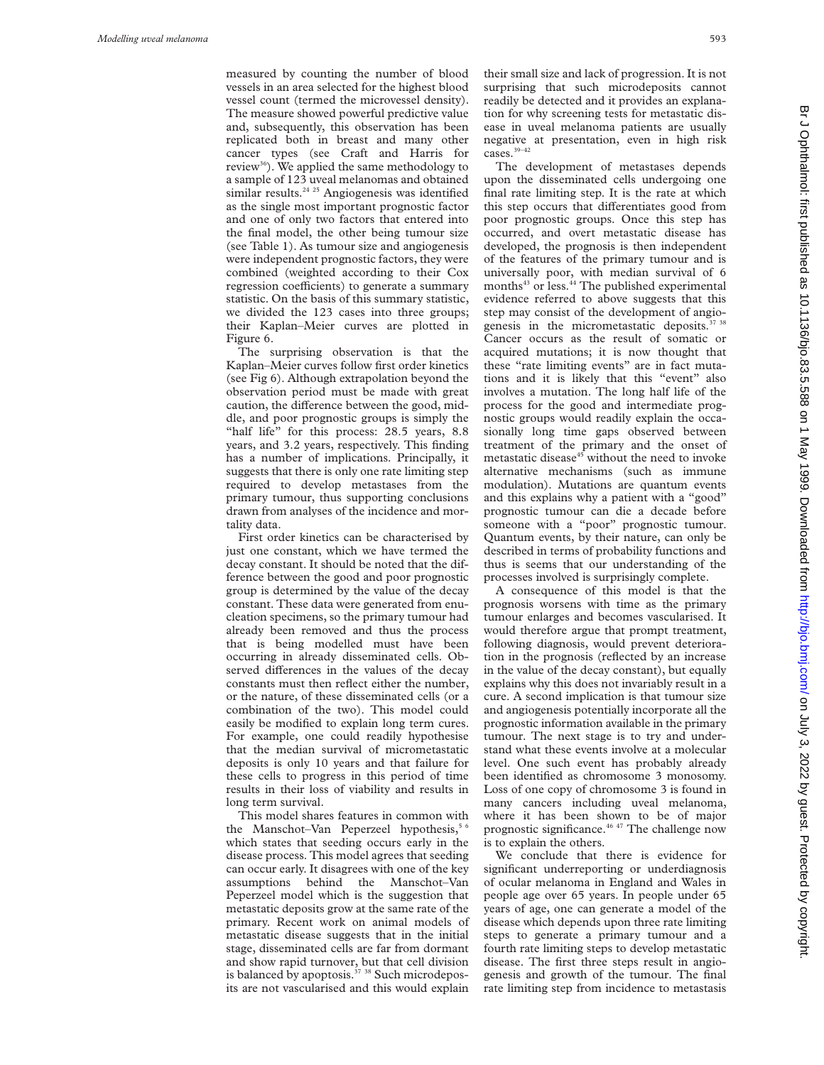measured by counting the number of blood vessels in an area selected for the highest blood vessel count (termed the microvessel density). The measure showed powerful predictive value and, subsequently, this observation has been replicated both in breast and many other cancer types (see Craft and Harris for review<sup>36</sup>). We applied the same methodology to a sample of 123 uveal melanomas and obtained similar results.<sup>24 25</sup> Angiogenesis was identified as the single most important prognostic factor and one of only two factors that entered into the final model, the other being tumour size (see Table 1). As tumour size and angiogenesis were independent prognostic factors, they were combined (weighted according to their Cox regression coefficients) to generate a summary statistic. On the basis of this summary statistic, we divided the 123 cases into three groups; their Kaplan–Meier curves are plotted in Figure 6.

The surprising observation is that the Kaplan–Meier curves follow first order kinetics (see Fig 6). Although extrapolation beyond the observation period must be made with great caution, the difference between the good, middle, and poor prognostic groups is simply the "half life" for this process: 28.5 years, 8.8 years, and 3.2 years, respectively. This finding has a number of implications. Principally, it suggests that there is only one rate limiting step required to develop metastases from the primary tumour, thus supporting conclusions drawn from analyses of the incidence and mortality data.

First order kinetics can be characterised by just one constant, which we have termed the decay constant. It should be noted that the difference between the good and poor prognostic group is determined by the value of the decay constant. These data were generated from enucleation specimens, so the primary tumour had already been removed and thus the process that is being modelled must have been occurring in already disseminated cells. Observed differences in the values of the decay constants must then reflect either the number, or the nature, of these disseminated cells (or a combination of the two). This model could easily be modified to explain long term cures. For example, one could readily hypothesise that the median survival of micrometastatic deposits is only 10 years and that failure for these cells to progress in this period of time results in their loss of viability and results in long term survival.

This model shares features in common with the Manschot-Van Peperzeel hypothesis,<sup>5</sup> which states that seeding occurs early in the disease process. This model agrees that seeding can occur early. It disagrees with one of the key assumptions behind the Manschot–Van Peperzeel model which is the suggestion that metastatic deposits grow at the same rate of the primary. Recent work on animal models of metastatic disease suggests that in the initial stage, disseminated cells are far from dormant and show rapid turnover, but that cell division is balanced by apoptosis.<sup>37</sup> <sup>38</sup> Such microdeposits are not vascularised and this would explain

their small size and lack of progression. It is not surprising that such microdeposits cannot readily be detected and it provides an explanation for why screening tests for metastatic disease in uveal melanoma patients are usually negative at presentation, even in high risk cases.<sup>39-42</sup>

The development of metastases depends upon the disseminated cells undergoing one final rate limiting step. It is the rate at which this step occurs that differentiates good from poor prognostic groups. Once this step has occurred, and overt metastatic disease has developed, the prognosis is then independent of the features of the primary tumour and is universally poor, with median survival of 6 months<sup>43</sup> or less.<sup>44</sup> The published experimental evidence referred to above suggests that this step may consist of the development of angiogenesis in the micrometastatic deposits.<sup>37</sup> Cancer occurs as the result of somatic or acquired mutations; it is now thought that these "rate limiting events" are in fact mutations and it is likely that this "event" also involves a mutation. The long half life of the process for the good and intermediate prognostic groups would readily explain the occasionally long time gaps observed between treatment of the primary and the onset of metastatic disease<sup>45</sup> without the need to invoke alternative mechanisms (such as immune modulation). Mutations are quantum events and this explains why a patient with a "good" prognostic tumour can die a decade before someone with a "poor" prognostic tumour. Quantum events, by their nature, can only be described in terms of probability functions and thus is seems that our understanding of the processes involved is surprisingly complete.

A consequence of this model is that the prognosis worsens with time as the primary tumour enlarges and becomes vascularised. It would therefore argue that prompt treatment, following diagnosis, would prevent deterioration in the prognosis (reflected by an increase in the value of the decay constant), but equally explains why this does not invariably result in a cure. A second implication is that tumour size and angiogenesis potentially incorporate all the prognostic information available in the primary tumour. The next stage is to try and understand what these events involve at a molecular level. One such event has probably already been identified as chromosome 3 monosomy. Loss of one copy of chromosome 3 is found in many cancers including uveal melanoma, where it has been shown to be of major prognostic significance.46 47 The challenge now is to explain the others.

We conclude that there is evidence for significant underreporting or underdiagnosis of ocular melanoma in England and Wales in people age over 65 years. In people under 65 years of age, one can generate a model of the disease which depends upon three rate limiting steps to generate a primary tumour and a fourth rate limiting steps to develop metastatic disease. The first three steps result in angiogenesis and growth of the tumour. The final rate limiting step from incidence to metastasis